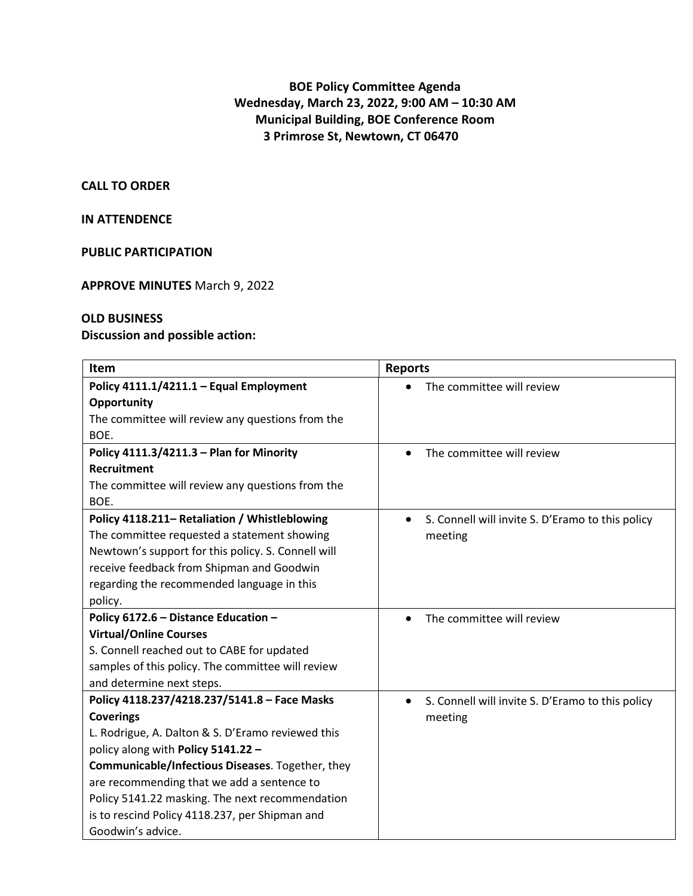# **BOE Policy Committee Agenda Wednesday, March 23, 2022, 9:00 AM – 10:30 AM Municipal Building, BOE Conference Room 3 Primrose St, Newtown, CT 06470**

#### **CALL TO ORDER**

### **IN ATTENDENCE**

#### **PUBLIC PARTICIPATION**

#### **APPROVE MINUTES** March 9, 2022

## **OLD BUSINESS**

## **Discussion and possible action:**

| Item                                               | <b>Reports</b>                                                |
|----------------------------------------------------|---------------------------------------------------------------|
| Policy 4111.1/4211.1 - Equal Employment            | The committee will review                                     |
| Opportunity                                        |                                                               |
| The committee will review any questions from the   |                                                               |
| BOE.                                               |                                                               |
| Policy 4111.3/4211.3 - Plan for Minority           | The committee will review<br>$\bullet$                        |
| <b>Recruitment</b>                                 |                                                               |
| The committee will review any questions from the   |                                                               |
| BOE.                                               |                                                               |
| Policy 4118.211- Retaliation / Whistleblowing      | S. Connell will invite S. D'Eramo to this policy<br>$\bullet$ |
| The committee requested a statement showing        | meeting                                                       |
| Newtown's support for this policy. S. Connell will |                                                               |
| receive feedback from Shipman and Goodwin          |                                                               |
| regarding the recommended language in this         |                                                               |
| policy.                                            |                                                               |
| Policy 6172.6 - Distance Education -               | The committee will review<br>$\bullet$                        |
| <b>Virtual/Online Courses</b>                      |                                                               |
| S. Connell reached out to CABE for updated         |                                                               |
| samples of this policy. The committee will review  |                                                               |
| and determine next steps.                          |                                                               |
| Policy 4118.237/4218.237/5141.8 - Face Masks       | S. Connell will invite S. D'Eramo to this policy<br>$\bullet$ |
| <b>Coverings</b>                                   | meeting                                                       |
| L. Rodrigue, A. Dalton & S. D'Eramo reviewed this  |                                                               |
| policy along with Policy 5141.22 -                 |                                                               |
| Communicable/Infectious Diseases. Together, they   |                                                               |
| are recommending that we add a sentence to         |                                                               |
| Policy 5141.22 masking. The next recommendation    |                                                               |
| is to rescind Policy 4118.237, per Shipman and     |                                                               |
| Goodwin's advice.                                  |                                                               |